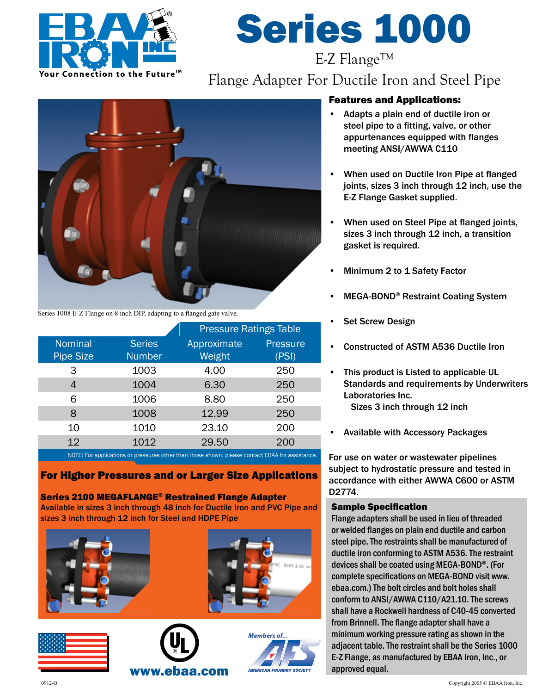

# Series 1000 E-Z Flange™

# Flange Adapter For Ductile Iron and Steel Pipe



Series 1008 E-Z Flange on 8 inch DIP, adapting to a flanged gate valve.

|                                | <b>Pressure Ratings Table</b> |                          |  |
|--------------------------------|-------------------------------|--------------------------|--|
| <b>Series</b><br><b>Number</b> | Approximate<br>Weight         | <b>Pressure</b><br>(PSI) |  |
| 1003                           | 4.00                          | 250                      |  |
| 1004                           | 6.30                          | 250                      |  |
| 1006                           | 8.80                          | 250                      |  |
| 1008                           | 12.99                         | 250                      |  |
| 1010                           | 23.10                         | 200                      |  |
| 1012                           | 29.50                         | 200                      |  |
|                                |                               |                          |  |

IOTE: For applications or pressures other than those shown, pl

#### For Higher Pressures and or Larger Size Applications

Series 2100 MEGAFLANGE® Restrained Flange Adapter Available in sizes 3 inch through 48 inch for Ductile Iron and PVC Pipe and sizes 3 inch through 12 inch for Steel and HDPE Pipe











#### Features and Applications:

- Adapts a plain end of ductile iron or steel pipe to a fitting, valve, or other appurtenances equipped with flanges meeting ANSI/AWWA C110
- When used on Ductile Iron Pipe at flanged joints, sizes 3 inch through 12 inch, use the E-Z Flange Gasket supplied.
- When used on Steel Pipe at flanged joints, sizes 3 inch through 12 inch, a transition gasket is required.
- Minimum 2 to 1 Safety Factor
- MEGA-BOND® Restraint Coating System
- **Set Screw Design**
- Constructed of ASTM A536 Ductile Iron
- This product is Listed to applicable UL Standards and requirements by Underwriters Laboratories Inc. Sizes 3 inch through 12 inch
- Available with Accessory Packages

For use on water or wastewater pipelines subject to hydrostatic pressure and tested in accordance with either AWWA C600 or ASTM D2774.

#### Sample Specification

Flange adapters shall be used in lieu of threaded or welded flanges on plain end ductile and carbon steel pipe. The restraints shall be manufactured of ductile iron conforming to ASTM A536. The restraint devices shall be coated using MEGA-BOND®. (For complete specifications on MEGA-BOND visit www. ebaa.com.) The bolt circles and bolt holes shall conform to ANSI/AWWA C110/A21.10. The screws shall have a Rockwell hardness of C40-45 converted from Brinnell. The flange adapter shall have a minimum working pressure rating as shown in the adjacent table. The restraint shall be the Series 1000 E-Z Flange, as manufactured by EBAA Iron, Inc., or approved equal.